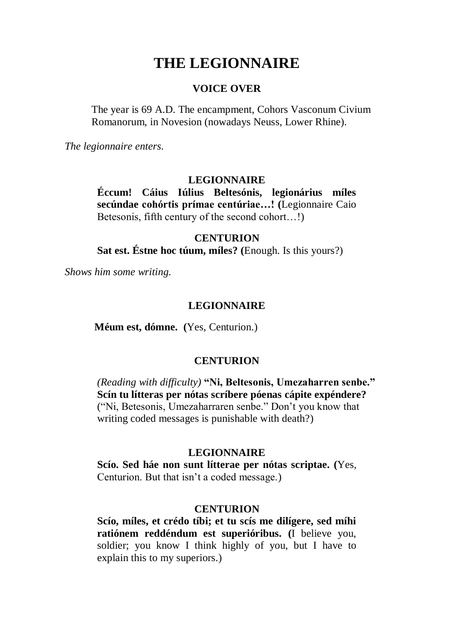# **THE LEGIONNAIRE**

#### **VOICE OVER**

The year is 69 A.D. The encampment, Cohors Vasconum Civium Romanorum, in Novesion (nowadays Neuss, Lower Rhine).

*The legionnaire enters.*

#### **LEGIONNAIRE**

**Éccum! Cáius Iúlius Beltesónis, legionárius míles secúndae cohórtis prímae centúriae…! (**Legionnaire Caio Betesonis, fifth century of the second cohort…!)

## **CENTURION**

**Sat est. Éstne hoc túum, míles? (**Enough. Is this yours?)

*Shows him some writing.*

## **LEGIONNAIRE**

**Méum est, dómne. (**Yes, Centurion.)

## **CENTURION**

*(Reading with difficulty)* **"Ni, Beltesonis, Umezaharren senbe." Scín tu lítteras per nótas scríbere póenas cápite expéndere?** ("Ni, Betesonis, Umezaharraren senbe." Don't you know that writing coded messages is punishable with death?)

## **LEGIONNAIRE**

**Scío. Sed háe non sunt lítterae per nótas scriptae. (**Yes, Centurion. But that isn't a coded message.)

#### **CENTURION**

**Scío, míles, et crédo tíbi; et tu scís me dilígere, sed míhi ratiónem reddéndum est superióribus. (**I believe you, soldier; you know I think highly of you, but I have to explain this to my superiors.)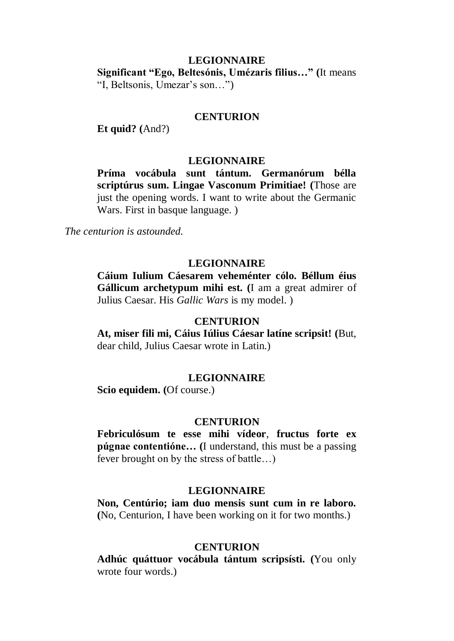# **LEGIONNAIRE Significant "Ego, Beltesónis, Umézaris filius…" (**It means "I, Beltsonis, Umezar's son…")

## **CENTURION**

**Et quid? (**And?)

#### **LEGIONNAIRE**

**Príma vocábula sunt tántum. Germanórum bélla scriptúrus sum. Lingae Vasconum Primitiae! (**Those are just the opening words. I want to write about the Germanic Wars. First in basque language. )

*The centurion is astounded.* 

## **LEGIONNAIRE**

**Cáium Iulium Cáesarem veheménter cólo. Béllum éius Gállicum archetypum mihi est. (**I am a great admirer of Julius Caesar. His *Gallic Wars* is my model. )

### **CENTURION**

**At, miser fili mi, Cáius Iúlius Cáesar latíne scripsit! (**But, dear child, Julius Caesar wrote in Latin.)

## **LEGIONNAIRE**

**Scio equidem. (**Of course.)

#### **CENTURION**

**Febriculósum te esse mihi vídeor**, **fructus forte ex púgnae contentióne… (**I understand, this must be a passing fever brought on by the stress of battle…)

#### **LEGIONNAIRE**

**Non, Centúrio; iam duo mensis sunt cum in re laboro. (**No, Centurion, I have been working on it for two months.)

#### **CENTURION**

**Adhúc quáttuor vocábula tántum scripsísti. (**You only wrote four words.)